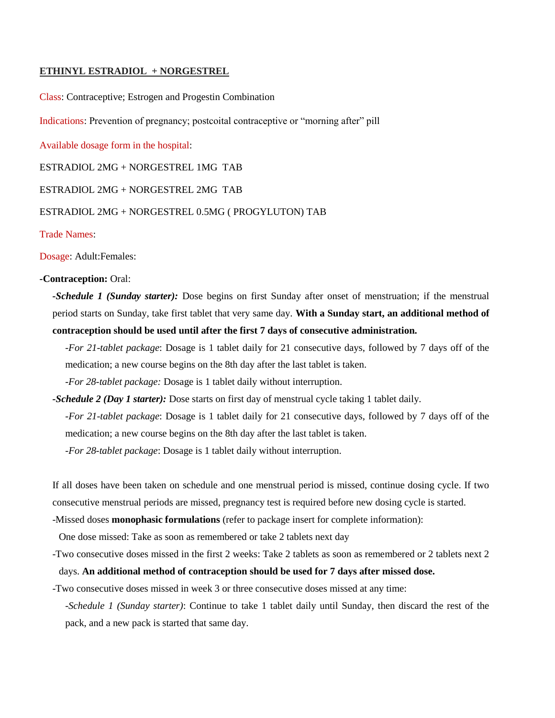### **ETHINYL ESTRADIOL + NORGESTREL**

Class: Contraceptive; Estrogen and Progestin Combination

Indications: Prevention of pregnancy; postcoital contraceptive or "morning after" pill

Available dosage form in the hospital:

ESTRADIOL 2MG + NORGESTREL 1MG TAB

ESTRADIOL 2MG + NORGESTREL 2MG TAB

#### ESTRADIOL 2MG + NORGESTREL 0.5MG ( PROGYLUTON) TAB

Trade Names:

Dosage: Adult:Females:

## **-Contraception:** Oral:

*-Schedule 1 (Sunday starter):* Dose begins on first Sunday after onset of menstruation; if the menstrual period starts on Sunday, take first tablet that very same day. **With a Sunday start, an additional method of contraception should be used until after the first 7 days of consecutive administration.** 

-*For 21-tablet package*: Dosage is 1 tablet daily for 21 consecutive days, followed by 7 days off of the medication; a new course begins on the 8th day after the last tablet is taken.

-*For 28-tablet package:* Dosage is 1 tablet daily without interruption.

*-Schedule 2 (Day 1 starter):* Dose starts on first day of menstrual cycle taking 1 tablet daily.

*-For 21-tablet package*: Dosage is 1 tablet daily for 21 consecutive days, followed by 7 days off of the medication; a new course begins on the 8th day after the last tablet is taken.

*-For 28-tablet package*: Dosage is 1 tablet daily without interruption.

If all doses have been taken on schedule and one menstrual period is missed, continue dosing cycle. If two consecutive menstrual periods are missed, pregnancy test is required before new dosing cycle is started.

-Missed doses **monophasic formulations** (refer to package insert for complete information):

One dose missed: Take as soon as remembered or take 2 tablets next day

-Two consecutive doses missed in the first 2 weeks: Take 2 tablets as soon as remembered or 2 tablets next 2 days. **An additional method of contraception should be used for 7 days after missed dose.**

-Two consecutive doses missed in week 3 or three consecutive doses missed at any time:

-*Schedule 1 (Sunday starter)*: Continue to take 1 tablet daily until Sunday, then discard the rest of the pack, and a new pack is started that same day.